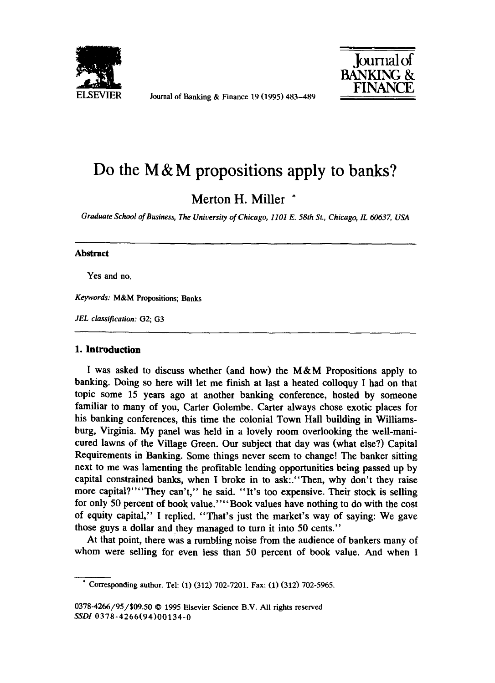

**Journal of Banking & Finance 19 (1995) 483-489** 



# **Do the M & M propositions apply to banks?**

# **Merton H. Miller \***

*Graduate School o/Business, The University of Chicago, 1101 E. 58th St., Chicago, IL 60637, USA* 

#### **Abstract**

Yes and no.

*Keywords:* M&M Propositions; Banks

*JEL classification:* G2; G3

## **1. Introduction**

I was asked to discuss whether (and how) the  $M & M$  Propositions apply to banking. Doing so here will let me finish at last a heated colloquy I had on that topic some 15 years ago at another banking conference, hosted by someone familiar to many of you, Carter Golembe. Carter always chose exotic places for his banking conferences, this time the colonial Town Hall building in Williamsburg, Virginia. My panel was held in a lovely room overlooking the well-manicured lawns of the Village Green. Our subject that day was (what else?) Capital Requirements in Banking. Some things never seem to change! The banker sitting next to me was lamenting the profitable lending opportunities being passed up by capital constrained banks, when I broke in to ask:."Then, why don't they raise more capital?""They can't," he said. "It's too expensive. Their stock is selling for only 50 percent of book value.'"' Book values have nothing to do with the cost of equity capital," I replied. "That's just the market's way of saying: We gave those guys a dollar and they managed to turn it into 50 cents."

At that point, there was a rumbling noise from the audience of bankers many of whom were selling for even less than 50 percent of book value. And when I

Corresponding author. Tel: (1) (312) 702-7201. Fax: (1) (312) 702-5965.

<sup>0378-4266/95/\$09.50 © 1995</sup> Elsevier Science B.V. All rights reserved *SSD1* 0378-4266(94)00134-0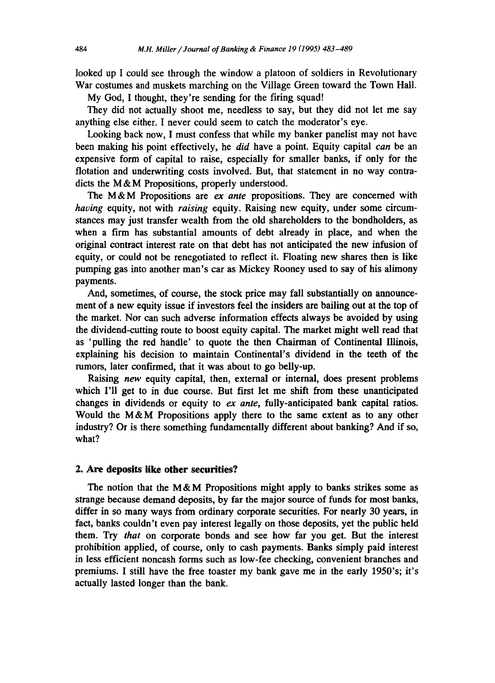looked up I could see through the window a platoon of soldiers in Revolutionary War costumes and muskets marching on the Village Green toward the Town Hall. My God, I thought, they're sending for the firing squad!

They did not actually shoot me, needless to say, but they did not let me say anything else either. I never could seem to catch the moderator's eye.

Looking back now, I must confess that while my banker panelist may not have been making his point effectively, he *did* have a point. Equity capital *can* be an expensive form of capital to raise, especially for smaller banks, if only for the flotation and underwriting costs involved. But, that statement in no way contradicts the  $M & M$  Propositions, properly understood.

The M&M Propositions are ex *ante* propositions. They are concerned with *having* equity, not with *raising* equity. Raising new equity, under some circumstances may just transfer wealth from the old shareholders to the bondholders, as when a firm has substantial amounts of debt already in place, and when the original contract interest rate on that debt has not anticipated the new infusion of equity, or could not be renegotiated to reflect it. Floating new shares then is like pumping gas into another man's car as Mickey Rooney used to say of his alimony payments.

And, sometimes, of course, the stock price may fall substantially on announcement of a new equity issue if investors feel the insiders are bailing out at the top of the market. Nor can such adverse information effects always be avoided by using the dividend-cutting route to boost equity capital. The market might well read that as 'pulling the red handle' to quote the then Chairman of Continental Illinois, explaining his decision to maintain Continental's dividend in the teeth of the rumors, later confirmed, that it was about to go belly-up.

Raising *new* equity capital, then, external or internal, does present problems which I'll get to in due course. But first let me shift from these unanticipated changes in dividends or equity to ex *ante,* fully-anticipated bank capital ratios. Would the  $M & M$  Propositions apply there to the same extent as to any other industry? Or is there something fundamentally different about banking? And if so, what?

### **2. Are deposits like other securities?**

The notion that the M&M Propositions might apply to banks strikes some as strange because demand deposits, by far the major source of funds for most banks, differ in so many ways from ordinary corporate securities. For nearly 30 years, in fact, banks couldn't even pay interest legally on those deposits, yet the public held them. Try *that* on corporate bonds and see how far you get. But the interest prohibition applied, of course, only to cash payments. Banks simply paid interest in less efficient noncash forms such as low-fee checking, convenient branches and premiums. I still have the free toaster my bank gave me in the early 1950's; it's actually lasted longer than the bank.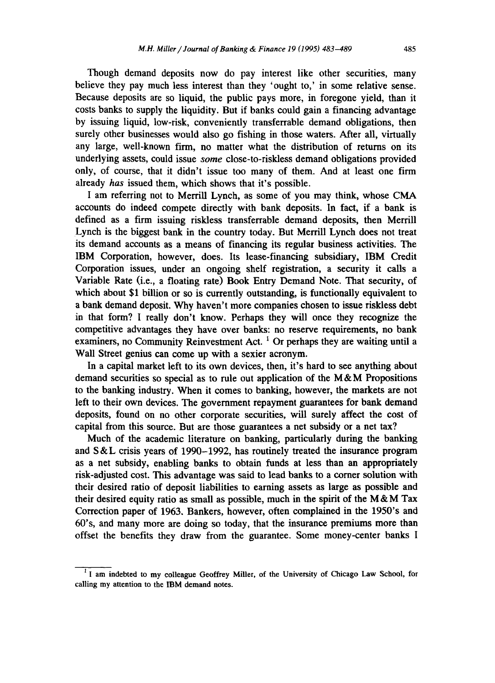Though demand deposits now do pay interest like other securities, many believe they pay much less interest than they 'ought to,' in some relative sense. Because deposits are so liquid, the public pays more, in foregone yield, than it costs banks to supply the liquidity. But if banks could gain a financing advantage by issuing liquid, low-risk, conveniently transferrable demand obligations, then surely other businesses would also go fishing in those waters. After all, virtually any large, well-known firm, no matter what the distribution of returns on its underlying assets, could issue *some* close-to-riskless demand obligations provided only, of course, that it didn't issue too many of them. And at least one firm already *has* issued them, which shows that it's possible.

I am referring not to Merrill Lynch, as some of you may think, whose CMA accounts do indeed compete directly with bank deposits. In fact, if a bank is defined as a firm issuing riskless transferrable demand deposits, then Merrill Lynch is the biggest bank in the country today. But Merrill Lynch does not treat its demand accounts as a means of financing its regular business activities. The IBM Corporation, however, does. Its lease-financing subsidiary, IBM Credit Corporation issues, under an ongoing shelf registration, a security it calls a Variable Rate (i.e., a floating rate) Book Entry Demand Note. That security, of which about \$1 billion or so is currently outstanding, is functionally equivalent to a bank demand deposit. Why haven't more companies chosen to issue riskless debt in that form? I really don't know. Perhaps they will once they recognize the competitive advantages they have over banks: no reserve requirements, no bank examiners, no Community Reinvestment Act.<sup>1</sup> Or perhaps they are waiting until a Wall Street genius can come up with a sexier acronym.

In a capital market left to its own devices, then, it's hard to see anything about demand securities so special as to rule out application of the  $M & M$  Propositions to the banking industry. When it comes to banking, however, the markets are not left to their own devices. The government repayment guarantees for bank demand deposits, found on no other corporate securities, will surely affect the cost of capital from this source. But are those guarantees a net subsidy or a net tax?

Much of the academic literature on banking, particularly during the banking and S & L crisis years of 1990-1992, has routinely treated the insurance program as a net subsidy, enabling banks to obtain funds at less than an appropriately risk-adjusted cost. This advantage was said to lead banks to a corner solution with their desired ratio of deposit liabilities to earning assets as large as possible and their desired equity ratio as small as possible, much in the spirit of the  $M & M$  Tax Correction paper of 1963. Bankers, however, often complained in the 1950's and 60's, and many more are doing so today, that the insurance premiums more than offset the benefits they draw from the guarantee. Some money-center banks I

<sup>&</sup>lt;sup>1</sup> I am indebted to my colleague Geoffrey Miller, of the University of Chicago Law School, for calling my attention to the IBM demand notes.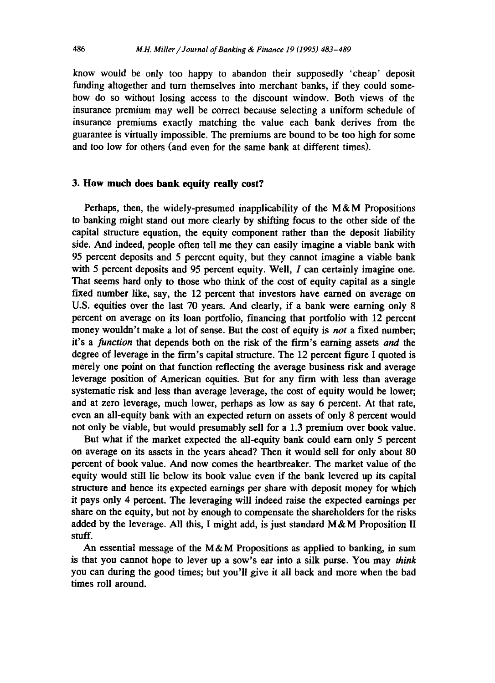know would be only too happy to abandon their supposedly 'cheap' deposit funding altogether and turn themselves into merchant banks, if they could somehow do so without losing access to the discount window. Both views of the insurance premium may well be correct because selecting a uniform schedule of insurance premiums exactly matching the value each bank derives from the guarantee is virtually impossible. The premiums are bound to be too high for some and too low for others (and even for the same bank at different times).

# **3. How much does bank equity really cost?**

Perhaps, then, the widely-presumed inapplicability of the M&M Propositions to banking might stand out more clearly by shifting focus to the other side of the capital structure equation, the equity component rather than the deposit liability side. And indeed, people often tell me they can easily imagine a viable bank with 95 percent deposits and 5 percent equity, but they cannot imagine a viable bank with 5 percent deposits and 95 percent equity. Well, I can certainly imagine one. That seems hard only to those who think of the cost of equity capital as a single fixed number like, say, the 12 percent that investors have earned on average on U.S. equities over the last 70 years. And clearly, if a bank were earning only 8 percent on average on its loan portfolio, financing that portfolio with 12 percent money wouldn't make a lot of sense. But the cost of equity is *not* a fixed number; it's a *function* that depends both on the risk of the firm's earning assets and the degree of leverage in the firm's capital structure. The 12 percent figure I quoted is merely one point on that function reflecting the average business risk and average leverage position of American equities. But for any firm with less than average systematic risk and less than average leverage, the cost of equity would be lower; and at zero leverage, much lower, perhaps as low as say 6 percent. At that rate, even an all-equity bank with an expected return on assets of only 8 percent would not only be viable, but would presumably sell for a 1.3 premium over book value.

But what if the market expected the all-equity bank could earn only 5 percent on average on its assets in the years ahead? Then it would sell for only about 80 percent of book value. And now comes the heartbreaker. The market value of the equity would still lie below its book value even if the bank levered up its capital structure and hence its expected earnings per share with deposit money for which it pays only 4 percent. The leveraging will indeed raise the expected earnings per share on the equity, but not by enough to compensate the shareholders for the risks added by the leverage. All this, I might add, is just standard  $M & M$  Proposition II stuff.

An essential message of the M & M Propositions as applied to banking, in sum is that you cannot hope to lever up a sow's ear into a silk purse. You may *think*  you can during the good times; but you'll give it all back and more when the bad times roll around.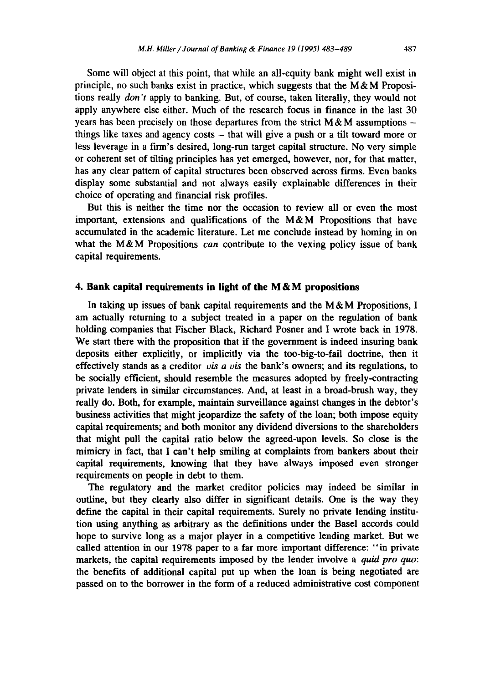Some will object at this point, that while an all-equity bank might well exist in principle, no such banks exist in practice, which suggests that the  $M & M$  Propositions really *don't* apply to banking. But, of course, taken literally, they would not apply anywhere else either. Much of the research focus in finance in the last 30 years has been precisely on those departures from the strict  $M & M$  assumptions things like taxes and agency costs  $-$  that will give a push or a tilt toward more or less leverage in a firm's desired, long-run target capital structure. No very simple or coherent set of tilting principles has yet emerged, however, nor, for that matter, has any clear pattern of capital structures been observed across firms. Even banks display some substantial and not always easily explainable differences in their choice of operating and financial risk profiles.

But this is neither the time nor the occasion to review all or even the most important, extensions and qualifications of the  $M&M$  Propositions that have accumulated in the academic literature. Let me conclude instead by homing in on what the M&M Propositions *can* contribute to the vexing policy issue of bank capital requirements.

#### **4. Bank capital requirements in light of the M & M propositions**

In taking up issues of bank capital requirements and the  $M & M$  Propositions, I am actually returning to a subject treated in a paper on the regulation of bank holding companies that Fischer Black, Richard Posner and I wrote back in 1978. We start there with the proposition that if the government is indeed insuring bank deposits either explicitly, or implicitly via the too-big-to-fail doctrine, then it effectively stands as a creditor *visa vis the* bank's owners; and its regulations, to be socially efficient, should resemble the measures adopted by freely-contracting private lenders in similar circumstances. And, at least in a broad-brush way, they really do. Both, for example, maintain surveillance against changes in the debtor's business activities that might jeopardize the safety of the loan; both impose equity capital requirements; and both monitor any dividend diversions to the shareholders that might pull the capital ratio below the agreed-upon levels. So close is the mimicry in fact, that I can't help smiling at complaints from bankers about their capital requirements, knowing that they have always imposed even stronger requirements on people in debt to them.

The regulatory and the market creditor policies may indeed be similar in outline, but they dearly also differ in significant details. One is the way they define the capital in their capital requirements. Surely no private lending institution using anything as arbitrary as the definitions under the Basel accords could hope to survive long as a major player in a competitive lending market. But we called attention in our 1978 paper to a far more important difference: "in private markets, the capital requirements imposed by the lender involve a *quid pro quo:*  the benefits of additional capital put up when the loan is being negotiated are passed on to the borrower in the form of a reduced administrative cost component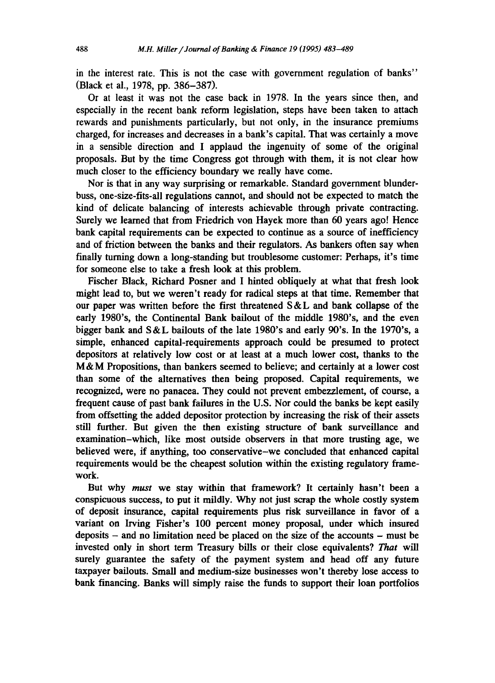in the interest rate. This is not the case with government regulation of banks" (Black et al., 1978, pp. 386-387).

Or at least it was not the case back in 1978. In the years since then, and especially in the recent bank reform legislation, steps have been taken to attach rewards and punishments particularly, but not only, in the insurance premiums charged, for increases and decreases in a bank's capital. That was certainly a move in a sensible direction and I applaud the ingenuity of some of the original proposals. But by the time Congress got through with them, it is not clear how much closer to the efficiency boundary we really have come.

Nor is that in any way surprising or remarkable. Standard government blunderbuss, one-size-fits-all regulations cannot, and should not be expected to match the kind of delicate balancing of interests achievable through private contracting. Surely we learned that from Friedrich von Hayek more than 60 years ago! Hence bank capital requirements can be expected to continue as a source of inefficiency and of friction between the banks and their regulators. As bankers often say when finally turning down a long-standing but troublesome customer: Perhaps, it's time for someone else to take a fresh look at this problem.

Fischer Black, Richard Posner and I hinted obliquely at what that fresh look might lead to, but we weren't ready for radical steps at that time. Remember that our paper was written before the first threatened S &L and bank collapse of the early 1980's, the Continental Bank bailout of the middle 1980's, and the even bigger bank and S&L bailouts of the late 1980's and early 90's. In the 1970's, a simple, enhanced capital-requirements approach could be presumed to protect depositors at relatively low cost or at least at a much lower cost, thanks to the M & M Propositions, than bankers seemed to believe; and certainly at a lower cost than some of the alternatives then being proposed. Capital requirements, we recognized, were no panacea. They could not prevent embezzlement, of course, a frequent cause of past bank failures in the U.S. Nor could the banks be kept easily from offsetting the added depositor protection by increasing the risk of their assets still further. But given the then existing structure of bank surveillance and examination-which, like most outside observers in that more trusting age, we believed were, if anything, too conservative-we concluded that enhanced capital requirements would be the cheapest solution within the existing regulatory framework.

But why *must* we stay within that framework? It certainly hasn't been a conspicuous success, to put it mildly. Why not just scrap the whole cosily system of deposit insurance, capital requirements plus risk surveillance in favor of a variant on Irving Fisher's 100 percent money proposal, under which insured deposits - and no limitation need be placed on the size of the accounts - must be invested only in short term Treasury bills or their close equivalents? *That* will surely guarantee the safety of the payment system and head off any future taxpayer bailouts. Small and medium-size businesses won't thereby lose access to bank financing. Banks will simply raise the funds to support their loan portfolios